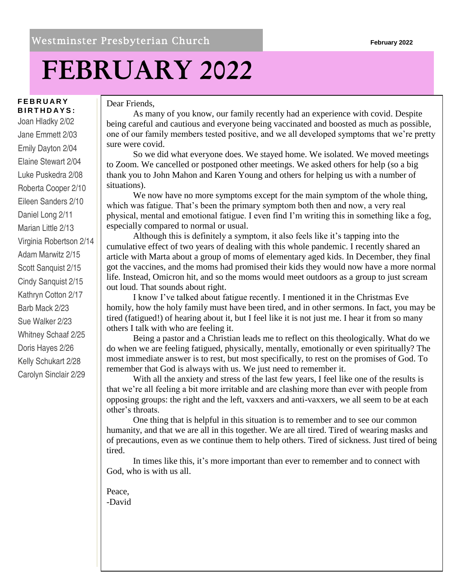## **FEBRUARY 2022**

#### **F E B R U A R Y B I R T H D A Y S :**

Joan Hladky 2/02 Jane Emmett 2/03 Emily Dayton 2/04 Elaine Stewart 2/04 Luke Puskedra 2/08 Roberta Cooper 2/10 Eileen Sanders 2/10 Daniel Long 2/11 Marian Little 2/13 Virginia Robertson 2/14 Adam Marwitz 2/15 Scott Sanquist 2/15 Cindy Sanquist 2/15 Kathryn Cotton 2/17 Barb Mack 2/23 Sue Walker 2/23 Whitney Schaaf 2/25 Doris Hayes 2/26 Kelly Schukart 2/28 Carolyn Sinclair 2/29

#### Dear Friends,

As many of you know, our family recently had an experience with covid. Despite being careful and cautious and everyone being vaccinated and boosted as much as possible, one of our family members tested positive, and we all developed symptoms that we're pretty sure were covid.

So we did what everyone does. We stayed home. We isolated. We moved meetings to Zoom. We cancelled or postponed other meetings. We asked others for help (so a big thank you to John Mahon and Karen Young and others for helping us with a number of situations).

We now have no more symptoms except for the main symptom of the whole thing, which was fatigue. That's been the primary symptom both then and now, a very real physical, mental and emotional fatigue. I even find I'm writing this in something like a fog, especially compared to normal or usual.

Although this is definitely a symptom, it also feels like it's tapping into the cumulative effect of two years of dealing with this whole pandemic. I recently shared an article with Marta about a group of moms of elementary aged kids. In December, they final got the vaccines, and the moms had promised their kids they would now have a more normal life. Instead, Omicron hit, and so the moms would meet outdoors as a group to just scream out loud. That sounds about right.

I know I've talked about fatigue recently. I mentioned it in the Christmas Eve homily, how the holy family must have been tired, and in other sermons. In fact, you may be tired (fatigued!) of hearing about it, but I feel like it is not just me. I hear it from so many others I talk with who are feeling it.

Being a pastor and a Christian leads me to reflect on this theologically. What do we do when we are feeling fatigued, physically, mentally, emotionally or even spiritually? The most immediate answer is to rest, but most specifically, to rest on the promises of God. To remember that God is always with us. We just need to remember it.

With all the anxiety and stress of the last few years, I feel like one of the results is that we're all feeling a bit more irritable and are clashing more than ever with people from opposing groups: the right and the left, vaxxers and anti-vaxxers, we all seem to be at each other's throats.

One thing that is helpful in this situation is to remember and to see our common humanity, and that we are all in this together. We are all tired. Tired of wearing masks and of precautions, even as we continue them to help others. Tired of sickness. Just tired of being tired.

In times like this, it's more important than ever to remember and to connect with God, who is with us all.

Peace, -David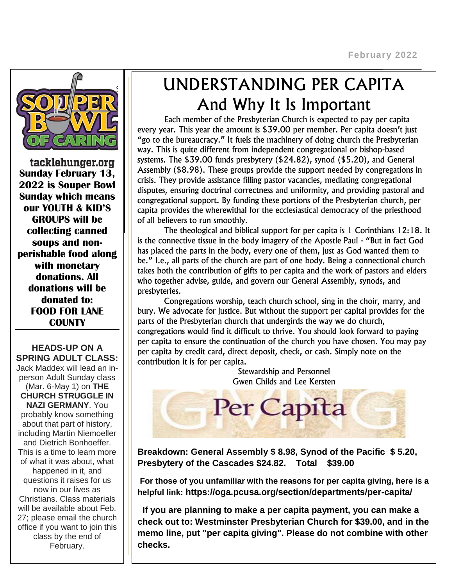$\overline{a}$ 



tacklehunger.org **Sunday February 13, 2022 is Souper Bowl Sunday which means our YOUTH & KID'S GROUPS will be collecting canned soups and nonperishable food along with monetary donations. All donations will be donated to: FOOD FOR LANE COUNTY**

**HEADS-UP ON A SPRING ADULT CLASS:** Jack Maddex will lead an inperson Adult Sunday class (Mar. 6-May 1) on **THE CHURCH STRUGGLE IN NAZI GERMANY**. You probably know something about that part of history, including Martin Niemoeller and Dietrich Bonhoeffer. This is a time to learn more of what it was about, what happened in it, and questions it raises for us now in our lives as Christians. Class materials will be available about Feb. 27; please email the church office if you want to join this class by the end of February.

## UNDERSTANDING PER CAPITA And Why It Is Important

Each member of the Presbyterian Church is expected to pay per capita every year. This year the amount is \$39.00 per member. Per capita doesn't just "go to the bureaucracy." It fuels the machinery of doing church the Presbyterian way. This is quite different from independent congregational or bishop-based systems. The \$39.00 funds presbytery (\$24.82), synod (\$5.20), and General Assembly (\$8.98). These groups provide the support needed by congregations in crisis. They provide assistance filling pastor vacancies, mediating congregational disputes, ensuring doctrinal correctness and uniformity, and providing pastoral and congregational support. By funding these portions of the Presbyterian church, per capita provides the wherewithal for the ecclesiastical democracy of the priesthood of all believers to run smoothly.

The theological and biblical support for per capita is 1 Corinthians 12:18. It is the connective tissue in the body imagery of the Apostle Paul - "But in fact God has placed the parts in the body, every one of them, just as God wanted them to be." I.e., all parts of the church are part of one body. Being a connectional church takes both the contribution of gifts to per capita and the work of pastors and elders who together advise, guide, and govern our General Assembly, synods, and presbyteries.

Congregations worship, teach church school, sing in the choir, marry, and bury. We advocate for justice. But without the support per capital provides for the parts of the Presbyterian church that undergirds the way we do church, congregations would find it difficult to thrive. You should look forward to paying per capita to ensure the continuation of the church you have chosen. You may pay per capita by credit card, direct deposit, check, or cash. Simply note on the contribution it is for per capita.

Stewardship and Personnel Gwen Childs and Lee Kersten



**Breakdown: General Assembly \$ 8.98, Synod of the Pacific \$ 5.20, Presbytery of the Cascades \$24.82. Total \$39.00**

**For those of you unfamiliar with the reasons for per capita giving, here is a helpful link: https://oga.pcusa.org/section/departments/per-capita/**

 **If you are planning to make a per capita payment, you can make a check out to: Westminster Presbyterian Church for \$39.00, and in the memo line, put "per capita giving". Please do not combine with other checks.**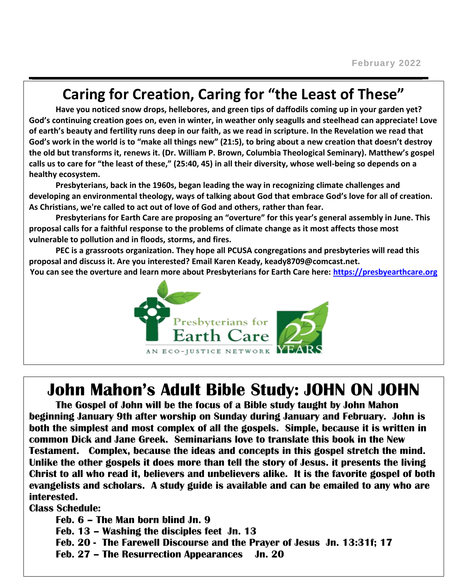### **Caring for Creation, Caring for "the Least of These"**

**Have you noticed snow drops, hellebores, and green tips of daffodils coming up in your garden yet? God's continuing creation goes on, even in winter, in weather only seagulls and steelhead can appreciate! Love of earth's beauty and fertility runs deep in our faith, as we read in scripture. In the Revelation we read that God's work in the world is to "make all things new" (21:5), to bring about a new creation that doesn't destroy the old but transforms it, renews it. (Dr. William P. Brown, Columbia Theological Seminary). Matthew's gospel calls us to care for "the least of these," (25:40, 45) in all their diversity, whose well-being so depends on a healthy ecosystem.**

**Presbyterians, back in the 1960s, began leading the way in recognizing climate challenges and developing an environmental theology, ways of talking about God that embrace God's love for all of creation. As Christians, we're called to act out of love of God and others, rather than fear.**

**Presbyterians for Earth Care are proposing an "overture" for this year's general assembly in June. This proposal calls for a faithful response to the problems of climate change as it most affects those most vulnerable to pollution and in floods, storms, and fires.**

**PEC is a grassroots organization. They hope all PCUSA congregations and presbyteries will read this proposal and discuss it. Are you interested? Email Karen Keady, keady8709@comcast.net.**

**You can see the overture and learn more about Presbyterians for Earth Care here: [https://presbyearthcare.org](https://presbyearthcare.org/)**



### **John Mahon's Adult Bible Study: JOHN ON JOHN**

**The Gospel of John will be the focus of a Bible study taught by John Mahon beginning January 9th after worship on Sunday during January and February. John is both the simplest and most complex of all the gospels. Simple, because it is written in common Dick and Jane Greek. Seminarians love to translate this book in the New Testament. Complex, because the ideas and concepts in this gospel stretch the mind. Unlike the other gospels it does more than tell the story of Jesus. it presents the living Christ to all who read it, believers and unbelievers alike. It is the favorite gospel of both evangelists and scholars. A study guide is available and can be emailed to any who are interested.**

**Class Schedule:**

**Feb. 6 – The Man born blind Jn. 9 Feb. 13 – Washing the disciples feet Jn. 13 Feb. 20 - The Farewell Discourse and the Prayer of Jesus Jn. 13:31f; 17 Feb. 27 – The Resurrection Appearances Jn. 20**